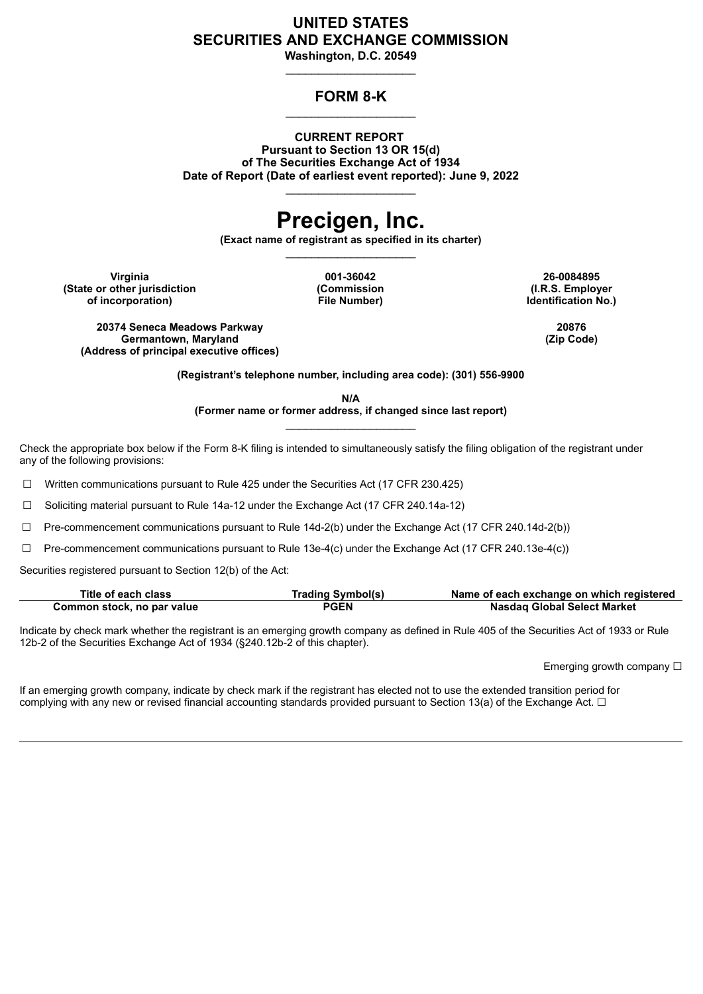# **UNITED STATES SECURITIES AND EXCHANGE COMMISSION**

**Washington, D.C. 20549**  $\_$ 

# **FORM 8-K**  $\_$

**CURRENT REPORT Pursuant to Section 13 OR 15(d) of The Securities Exchange Act of 1934 Date of Report (Date of earliest event reported): June 9, 2022**  $\_$ 

# **Precigen, Inc.**

**(Exact name of registrant as specified in its charter)**  $\_$ 

**Virginia 001-36042 26-0084895 (State or other jurisdiction of incorporation)**

**(Commission File Number)**

**(I.R.S. Employer Identification No.)**

**20374 Seneca Meadows Parkway 20876**  $Germantown, Maryland$ **(Address of principal executive offices)**

**(Registrant's telephone number, including area code): (301) 556-9900**

**N/A (Former name or former address, if changed since last report)**  $\_$ 

Check the appropriate box below if the Form 8-K filing is intended to simultaneously satisfy the filing obligation of the registrant under any of the following provisions:

☐ Written communications pursuant to Rule 425 under the Securities Act (17 CFR 230.425)

☐ Soliciting material pursuant to Rule 14a-12 under the Exchange Act (17 CFR 240.14a-12)

 $\Box$  Pre-commencement communications pursuant to Rule 14d-2(b) under the Exchange Act (17 CFR 240.14d-2(b))

 $\Box$  Pre-commencement communications pursuant to Rule 13e-4(c) under the Exchange Act (17 CFR 240.13e-4(c))

Securities registered pursuant to Section 12(b) of the Act:

| Title of each class        | <b>Trading Symbol(s)</b> | Name of each exchange on which registered |
|----------------------------|--------------------------|-------------------------------------------|
| Common stock, no par value | PGEN                     | <b>Nasdag Global Select Market</b>        |

Indicate by check mark whether the registrant is an emerging growth company as defined in Rule 405 of the Securities Act of 1933 or Rule 12b-2 of the Securities Exchange Act of 1934 (§240.12b-2 of this chapter).

Emerging growth company  $\Box$ 

If an emerging growth company, indicate by check mark if the registrant has elected not to use the extended transition period for complying with any new or revised financial accounting standards provided pursuant to Section 13(a) of the Exchange Act.  $\Box$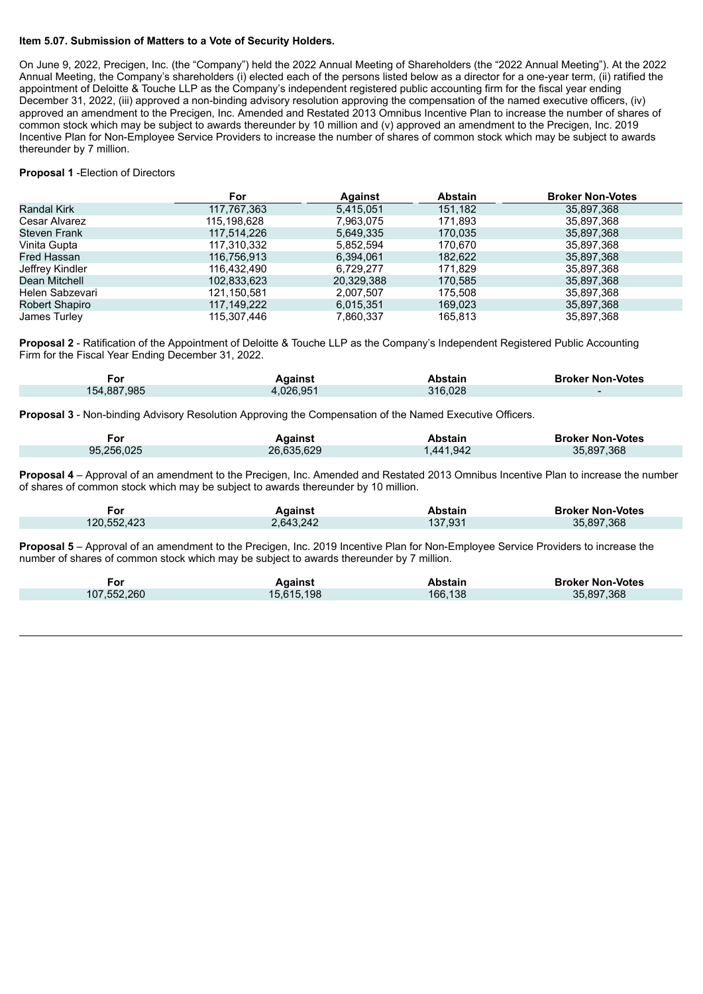#### **Item 5.07. Submission of Matters to a Vote of Security Holders.**

On June 9, 2022, Precigen, Inc. (the "Company") held the 2022 Annual Meeting of Shareholders (the "2022 Annual Meeting"). At the 2022 Annual Meeting, the Company's shareholders (i) elected each of the persons listed below as a director for a one-year term, (ii) ratified the appointment of Deloitte & Touche LLP as the Company's independent registered public accounting firm for the fiscal year ending December 31, 2022, (iii) approved a non-binding advisory resolution approving the compensation of the named executive officers, (iv) approved an amendment to the Precigen, Inc. Amended and Restated 2013 Omnibus Incentive Plan to increase the number of shares of common stock which may be subject to awards thereunder by 10 million and (v) approved an amendment to the Precigen, Inc. 2019 Incentive Plan for Non-Employee Service Providers to increase the number of shares of common stock which may be subject to awards thereunder by 7 million.

#### **Proposal 1** -Election of Directors

|                     | For         | <b>Against</b> | <b>Abstain</b> | <b>Broker Non-Votes</b> |
|---------------------|-------------|----------------|----------------|-------------------------|
| <b>Randal Kirk</b>  | 117,767,363 | 5,415,051      | 151,182        | 35,897,368              |
| Cesar Alvarez       | 115,198,628 | 7,963,075      | 171,893        | 35,897,368              |
| <b>Steven Frank</b> | 117,514,226 | 5,649,335      | 170,035        | 35,897,368              |
| Vinita Gupta        | 117,310,332 | 5,852,594      | 170.670        | 35,897,368              |
| Fred Hassan         | 116,756,913 | 6,394,061      | 182,622        | 35,897,368              |
| Jeffrey Kindler     | 116.432.490 | 6,729,277      | 171,829        | 35,897,368              |
| Dean Mitchell       | 102,833,623 | 20,329,388     | 170,585        | 35,897,368              |
| Helen Sabzevari     | 121,150,581 | 2,007,507      | 175,508        | 35,897,368              |
| Robert Shapiro      | 117.149.222 | 6,015,351      | 169,023        | 35,897,368              |
| James Turley        | 115.307.446 | 7,860,337      | 165.813        | 35,897,368              |

**Proposal 2** - Ratification of the Appointment of Deloitte & Touche LLP as the Company's Independent Registered Public Accounting Firm for the Fiscal Year Ending December 31, 2022.

| For         | <b>Against</b> | <b>Abstain</b> | <b>Broker Non-Votes</b> |
|-------------|----------------|----------------|-------------------------|
| 154,887,985 | 4,026,951      | 316,028        |                         |

**Proposal 3** - Non-binding Advisory Resolution Approving the Compensation of the Named Executive Officers.

| For        | Against    | Abstain   | <b>Broker Non-Votes</b> |
|------------|------------|-----------|-------------------------|
| 95,256,025 | 26,635,629 | 1.441.942 | 35,897,368              |

**Proposal 4** – Approval of an amendment to the Precigen, Inc. Amended and Restated 2013 Omnibus Incentive Plan to increase the number of shares of common stock which may be subject to awards thereunder by 10 million.

| For         | <b>\</b> aainst | bstain | <b>Broker Non-Votes</b> |
|-------------|-----------------|--------|-------------------------|
| 120,552,423 | :.643.242       | 37,931 | .368<br>35.897          |

**Proposal 5** – Approval of an amendment to the Precigen, Inc. 2019 Incentive Plan for Non-Employee Service Providers to increase the number of shares of common stock which may be subject to awards thereunder by 7 million.

| For         | <b>Against</b> | Abstain | <b>Broker Non-Votes</b> |
|-------------|----------------|---------|-------------------------|
| 107,552,260 | 15,615,198     | 166,138 | 35,897,368              |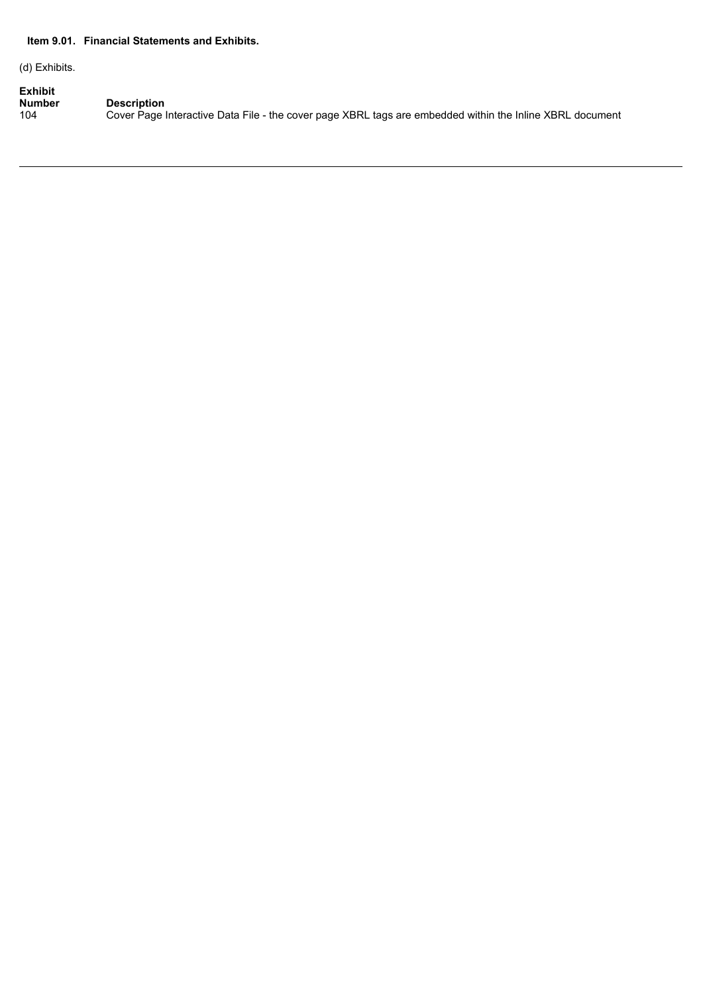### **Item 9.01. Financial Statements and Exhibits.**

(d) Exhibits.

**Exhibit**<br>**Number**<br>104 **Number Description**

104 Cover Page Interactive Data File - the cover page XBRL tags are embedded within the Inline XBRL document